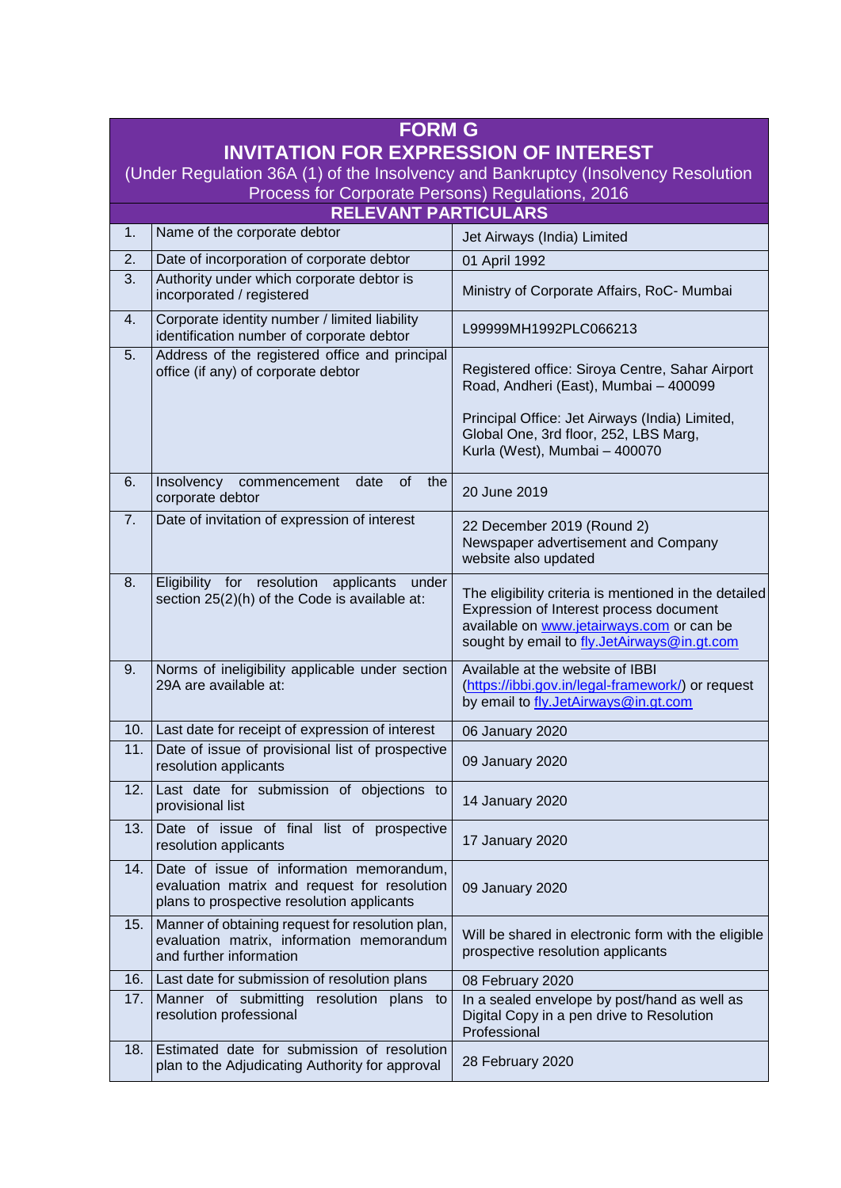| <b>FORM G</b>                                                                                                                     |                                                                                                                                        |                                                                                                                                                                                              |  |
|-----------------------------------------------------------------------------------------------------------------------------------|----------------------------------------------------------------------------------------------------------------------------------------|----------------------------------------------------------------------------------------------------------------------------------------------------------------------------------------------|--|
| <b>INVITATION FOR EXPRESSION OF INTEREST</b><br>(Under Regulation 36A (1) of the Insolvency and Bankruptcy (Insolvency Resolution |                                                                                                                                        |                                                                                                                                                                                              |  |
| Process for Corporate Persons) Regulations, 2016                                                                                  |                                                                                                                                        |                                                                                                                                                                                              |  |
| <b>RELEVANT PARTICULARS</b>                                                                                                       |                                                                                                                                        |                                                                                                                                                                                              |  |
| 1.                                                                                                                                | Name of the corporate debtor                                                                                                           | Jet Airways (India) Limited                                                                                                                                                                  |  |
| 2.                                                                                                                                | Date of incorporation of corporate debtor                                                                                              | 01 April 1992                                                                                                                                                                                |  |
| 3.                                                                                                                                | Authority under which corporate debtor is<br>incorporated / registered                                                                 | Ministry of Corporate Affairs, RoC- Mumbai                                                                                                                                                   |  |
| 4.                                                                                                                                | Corporate identity number / limited liability<br>identification number of corporate debtor                                             | L99999MH1992PLC066213                                                                                                                                                                        |  |
| 5.                                                                                                                                | Address of the registered office and principal<br>office (if any) of corporate debtor                                                  | Registered office: Siroya Centre, Sahar Airport<br>Road, Andheri (East), Mumbai - 400099                                                                                                     |  |
|                                                                                                                                   |                                                                                                                                        | Principal Office: Jet Airways (India) Limited,<br>Global One, 3rd floor, 252, LBS Marg,<br>Kurla (West), Mumbai - 400070                                                                     |  |
| 6.                                                                                                                                | of<br>Insolvency<br>date<br>the<br>commencement<br>corporate debtor                                                                    | 20 June 2019                                                                                                                                                                                 |  |
| 7.                                                                                                                                | Date of invitation of expression of interest                                                                                           | 22 December 2019 (Round 2)<br>Newspaper advertisement and Company<br>website also updated                                                                                                    |  |
| 8.                                                                                                                                | Eligibility for resolution<br>applicants<br>under<br>section 25(2)(h) of the Code is available at:                                     | The eligibility criteria is mentioned in the detailed<br>Expression of Interest process document<br>available on www.jetairways.com or can be<br>sought by email to fly.JetAirways@in.gt.com |  |
| 9.                                                                                                                                | Norms of ineligibility applicable under section<br>29A are available at:                                                               | Available at the website of IBBI<br>(https://ibbi.gov.in/legal-framework/) or request<br>by email to fly.JetAirways@in.gt.com                                                                |  |
| 10.                                                                                                                               | Last date for receipt of expression of interest                                                                                        | 06 January 2020                                                                                                                                                                              |  |
| 11.                                                                                                                               | Date of issue of provisional list of prospective<br>resolution applicants                                                              | 09 January 2020                                                                                                                                                                              |  |
| 12.                                                                                                                               | Last date for submission of objections to<br>provisional list                                                                          | 14 January 2020                                                                                                                                                                              |  |
| 13.                                                                                                                               | Date of issue of final list of prospective<br>resolution applicants                                                                    | 17 January 2020                                                                                                                                                                              |  |
| 14.                                                                                                                               | Date of issue of information memorandum,<br>evaluation matrix and request for resolution<br>plans to prospective resolution applicants | 09 January 2020                                                                                                                                                                              |  |
| 15.                                                                                                                               | Manner of obtaining request for resolution plan,<br>evaluation matrix, information memorandum<br>and further information               | Will be shared in electronic form with the eligible<br>prospective resolution applicants                                                                                                     |  |
| 16.                                                                                                                               | Last date for submission of resolution plans                                                                                           | 08 February 2020                                                                                                                                                                             |  |
| 17.                                                                                                                               | Manner of submitting resolution plans<br>to<br>resolution professional                                                                 | In a sealed envelope by post/hand as well as<br>Digital Copy in a pen drive to Resolution<br>Professional                                                                                    |  |
| 18.                                                                                                                               | Estimated date for submission of resolution<br>plan to the Adjudicating Authority for approval                                         | 28 February 2020                                                                                                                                                                             |  |